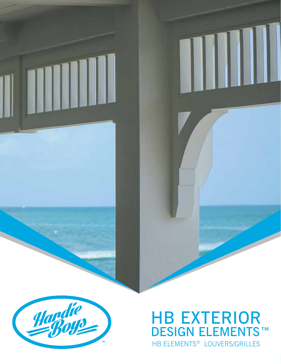

### HB EXTERIOR DESIGN ELEMENTS™ HB ELEMENTS® LOUVERS/GRILLES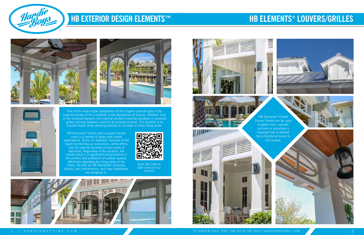

One of the most visible adaptations of the English colonial style in the tropical climate of the Carribean is the abundance of louvers. Whether it be in the louvered bahama and colonial shutters covering windows or louvered grilles running between columns at covered porches. The function is to provide shade while allowing breezes to circulate in these living areas.

**HB Elements<sup>®</sup> Closed** Louver Panels can be used at gable ends, cupolas, dormers or anywhere a louvered look is desired but a functional louver is not needed.

## **HB ELEMENTS® LOUVERS/GRILLES**







HB Elements® Grilles and Louvered Panels come in a variety of styles with varied applications. Some run between columns at the beam functioning as sunscreens, while others may be used as louvered privacy walls at balconies. Regardless of the location, the overall result is a significant enhancement in the comfort and ambiance of outdoor spaces, effectively extending the living areas of the home. As with all HB Elements® products, beauty, low maintenance, and easy installation are designed in.



Scan QR Code to view more on our Louvers







2 | HARDIEBOYSINC.COM **The COM COM COM TO ORDER CALL 954.784.8216 OR VISIT HARDIEBOYSINC.COM** 

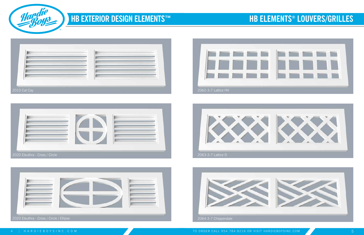

2020 Eleuthra - Cross / Circle









## **HB ELEMENTS® LOUVERS/GRILLES**

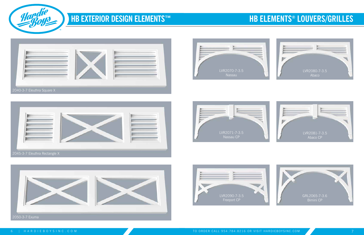





2040-3-7 Eleuthra Square X













## **HB ELEMENTS® LOUVERS/GRILLES**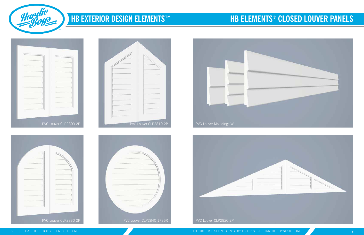





### **HB ELEMENTS® CLOSED LOUVER PANELS**

| PVC Louver CLP2800 2P |
|-----------------------|